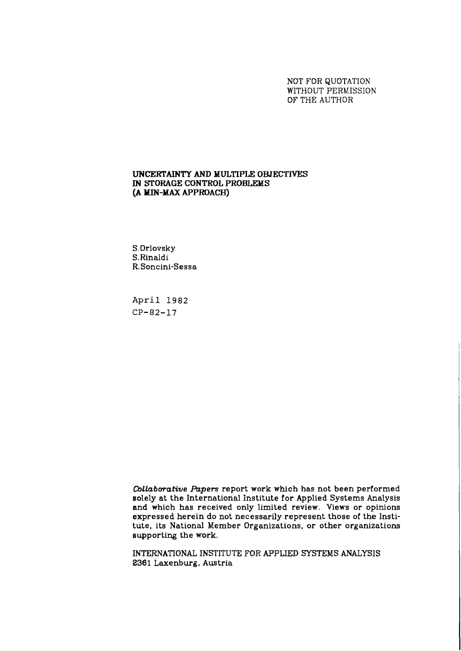NOT FOR QUOTATION WITHOUT PERMISSION OF THE AUTHOR

## **UNCERTAINTY AND MULTIPLE OBJECTIVES IN STORAGE CONTROL PROBLEMS (A KIN-MAX APPROACH)**

S. Orlovsky S.Rinaldi R. Soncini-Sessa

**April** 1982 **CP-82-17** 

*CoLlabmative Rzpers* report work which has not been performed solely at the International Institute for Applied Systems Analysis and which has received only limited review. Views or opinions expressed herein do not necessarily represent those of the Institute, its National Member Organizations, or other organizations supporting the work.

INTERNATIONAL INSTITUTE FOR APPLIED SYSTEMS ANALYSIS 2361 Laxenburg, Austria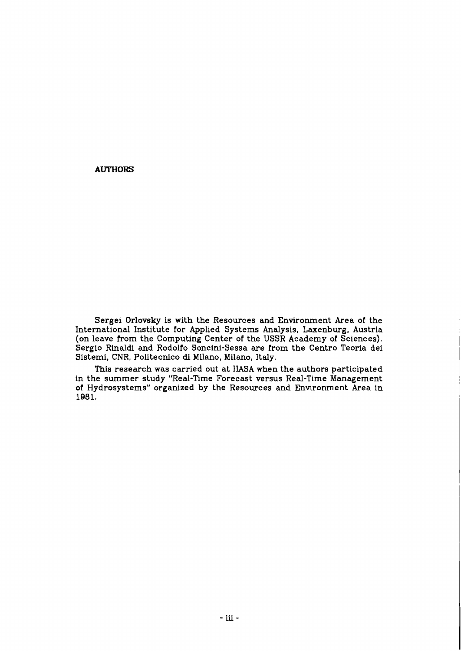# **AUTHORS**

Sergei Orlovsky is with the Resources and Environment Area of the International Institute for Applied Systems Analysis, Laxenburg, Austria (on leave from the Computing Center of the USSR Academy of Sciences). Sergio Rinaldi and Rodolfo Soncini-Sessa are from the Centro Teoria dei Sistemi, CNR, Politecnico **di** Milano, Milano, Italy.

This research was carried out at IIASA when the authors participated in the summer study "Real-Time Forecast versus Real-Time Management of Hydrosystems" organized by the Resources and Environment Area in 1981.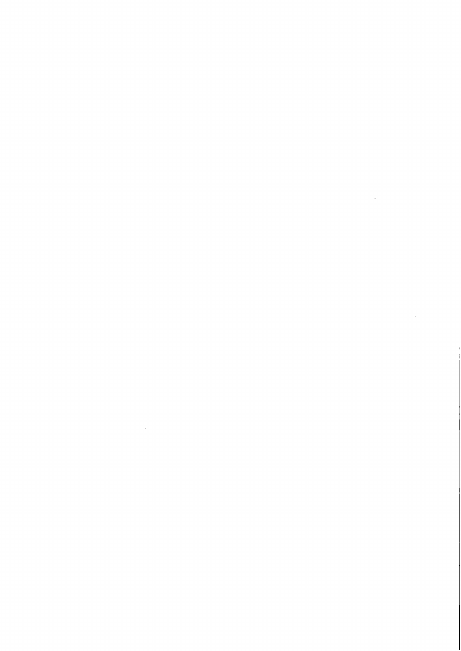$\mathcal{L}^{\text{max}}_{\text{max}}$  and  $\mathcal{L}^{\text{max}}_{\text{max}}$ 

# $\mathcal{L}^{\text{max}}_{\text{max}}$  and  $\mathcal{L}^{\text{max}}_{\text{max}}$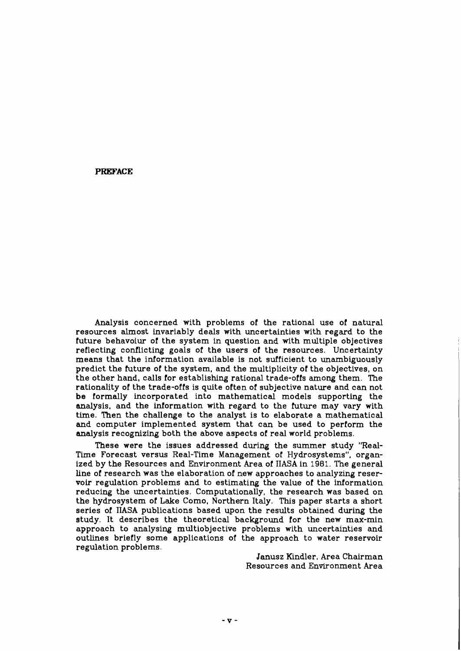## **PREFACE**

Analysis concerned with problems of the rational use of natural resources almost invariably deals with uncertainties with regard to the future behavoiur of the system in question and with multiple objectives reflecting conflicting goals of the users of the resources. Uncertainty means that the information available is not sufficient to unambiguously predict the future of the system, and the multiplicity of the objectives, on the other hand, calls for establishing rational trade-offs among them. The rationality of the trade-offs is quite often of subjective nature and can not be formally incorporated into mathematical models supporting the analysis, and the information with regard to the future may vary with time. Then the challenge to the analyst is to elaborate a mathematical and computer implemented system that can be used to perform the analysis recognizing both the above aspects of real world problems.

These were the issues addressed during the summer study "Real-Time Forecast versus Real-Time Management of Hydrosystems", organized by the Resources and Environment Area of IIASA in 1981. The general line of research was the elaboration of new approaches to analyzing reservoir regulation problems and to estimating the value of the information reducing the uncertainties. Computationally, the research was based on the hydrosystem of Lake Como, Northern Italy. This paper starts a short series of IIASA publications based upon the results obtained during the study. It describes the theoretical background for the new max-min approach to analysing multiobjective problems with uncertainties and outlines briefly some applications of the approach to water reservoir regulation problems.

> Janusz Kindler, Area Chairman Resources and Environment Area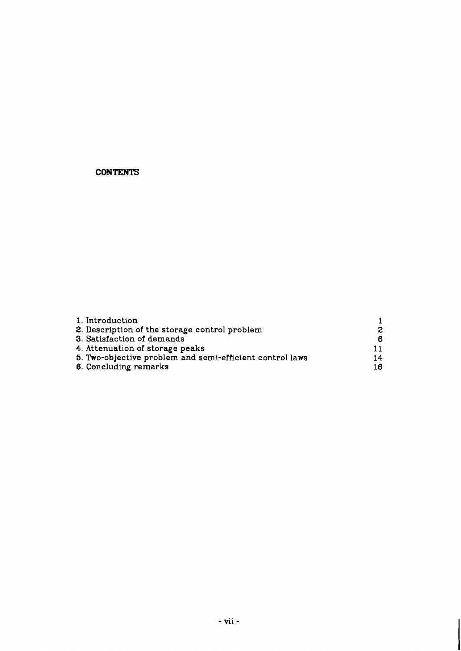# **CONTENTS**

| 1. Introduction                                          |    |
|----------------------------------------------------------|----|
| 2. Description of the storage control problem            | 2  |
| 3. Satisfaction of demands                               | В. |
| 4. Attenuation of storage peaks                          | 11 |
| 5. Two-objective problem and semi-efficient control laws | 14 |
| 6. Concluding remarks                                    | 16 |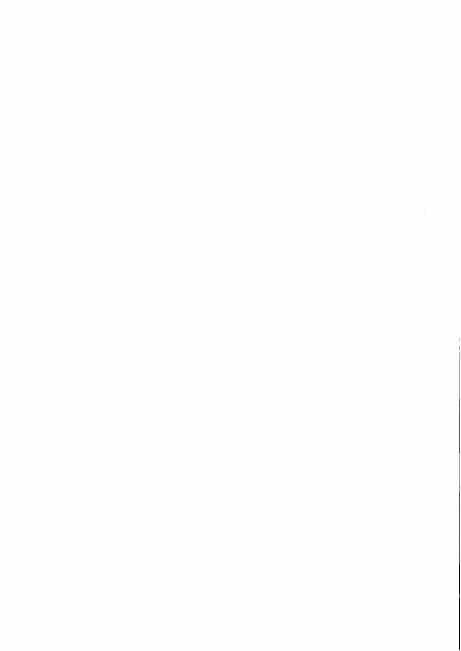$\sim 10^{-10}$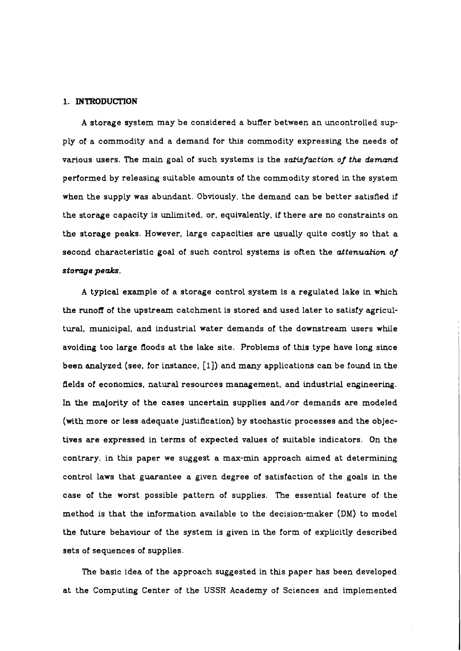## **1. INTRODUCTION**

**A** storage system may be considered a buffer between an uncontrolled supply of a commodity and a demand for ths commodity expressing the needs of various users. The main goal of such systems is the *satisfaction of the demand* performed by releasing suitable amounts of the commodity stored in the system when the supply was abundant. Obviously, the demand can be better satisfied if the storage capacity is unlimited, or, equivalently, if there are no constraints on the storage peaks. However, large capacities are usually quite costly so that a second characteristic goal of such control systems is often the **attenuation 01 storage peaks.** 

**A** typical example of a storage control system is a regulated lake in which the runoff of the upstream catchment is stored and used later to satisfy agricultural, municipal, and industrial water demands of the downstream users while avoiding too large floods at the lake site. Problems of this type have long since been analyzed (see, for instance, [I]) and many applications can be found in the flelds of economics, natural resources management, and industrial engineering. In the majority of the cases uncertain supplies and/or demands are modeled (with more or less adequate justification) by stochastic processes and the objectives are expressed in terms of expected values of suitable indicators. On the contrary. in this paper we suggest a max-min approach aimed at determining control laws that guarantee a given degree of satisfaction of the goals in the case of the worst possible pattern of supplies. The essential feature of the method is that the information available to the decision-maker (DM) to model the future behaviour of the system is given in the form of explicitly described sets of sequences of supplies.

The basic idea of the approach suggested in this paper has been developed at the Computing Center of the USSR Academy of Sciences and implemented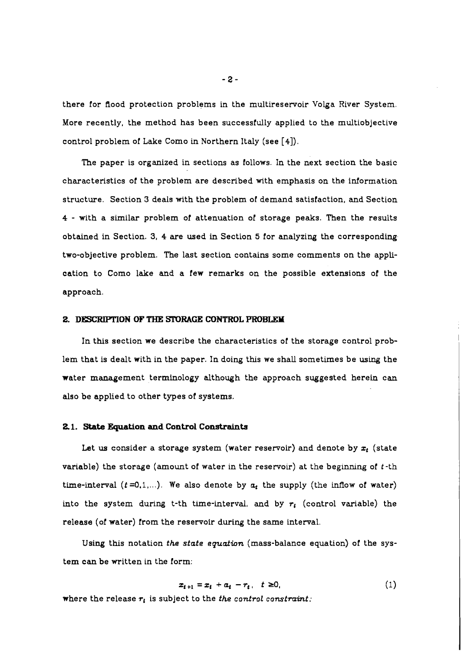there for flood protection problems in the multireservoir Volga River System. More recently, the method has been successfully applied to the multiobjective control problem of Lake Como in Northern Italy (see **[4]).** 

The paper is organized in sections as follows. In the next section the basic characteristics of the problem are described with emphasis on the information structure. Section **3** deals with the problem of demand satisfaction, and Section 4 - with a similar problem of attenuation of storage peaks. Then the results obtained in Section. **3,** 4 are used in Section 5 for analyzing the corresponding two-objective problem. The last section contains some comments on the application to Como lake and a few remarks on the possible extensions of the approach.

#### **2. DESCRIPTION OF THE STORAGE CONTROL PROBLEM**

In this section we describe the characteristics of the storage control problem that is dealt with in the paper. In doing this we shall sometimes be using the water management terminology although the approach suggested herein can also be applied to other types of systems.

# **2.1. State Equation and Control Constraints**

Let us consider a storage system (water reservoir) and denote by  $x_t$  (state variable) the storage (amount of water in the reservoir) at the beginning of t-th time-interval  $(t = 0, 1, ...)$ . We also denote by  $a_t$  the supply (the inflow of water) into the system during t-th time-interval, and by  $r_t$  (control variable) the release (of water) from the reservoir during the same interval.

Using this notation **the state equation** (mass-balance equation) of the system can be written in the form:

$$
x_{t+1} = x_t + a_t - r_t, \quad t \ge 0,
$$
 (1)

where the release  $r_t$  is subject to the *the control constraint:*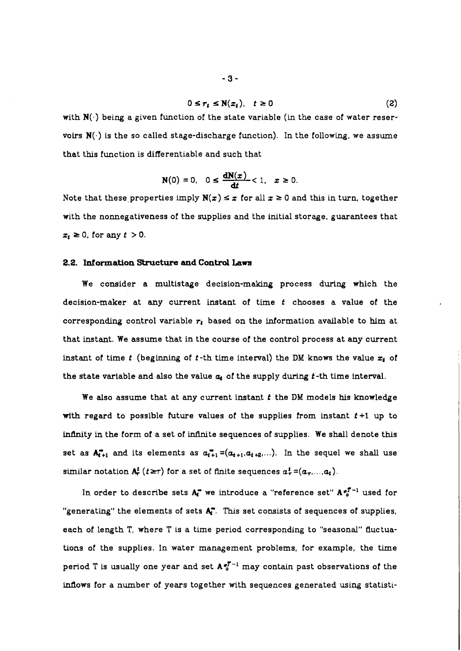$$
0 \leq r_t \leq N(x_t), \quad t \geq 0 \tag{2}
$$

with  $N(\cdot)$  being a given function of the state variable (in the case of water reservoirs  $N(\cdot)$  is the so called stage-discharge function). In the following, we assume that this function is differentiable and such that

$$
N(0) = 0, \quad 0 \le \frac{dN(x)}{dt} < 1, \quad x \ge 0.
$$

Note that these properties imply  $N(x) \le x$  for all  $x \ge 0$  and this in turn, together with the nonnegativeness of the supplies and the initial storage, guarantees that  $x_t \geq 0$ , for any  $t > 0$ .

### **2.2. Information Structure and Control hwa**

We consider a multistage decision-making process during which the decision-maker at any current instant of time t chooses a value of the corresponding control variable  $r_t$  based on the information available to him at that instant. We assume that in the course of the control process at any current instant of time t (beginning of t-th time interval) the DM knows the value  $x_t$  of the state variable and also the value **q** of the supply during **f** -th time interval.

We also assume that at any current instant **f** the **DM** models his knowledge wlth regard to possible future values of the supplies from instant **f** +l up to infinity in the form of a set of infinite sequences of supplies. We shall denote this set as  $A_{t+1}^*$  and its elements as  $a_{t+1}^* = (a_{t+1}, a_{t+2}, \ldots)$ . In the sequel we shall use similar notation  $A_r^f$  ( $t \geq \tau$ ) for a set of finite sequences  $a_\tau^f = (a_\tau, ..., a_t)$ .

In order to describe sets  $A_i^*$  we introduce a "reference set"  $A_i^*$ <sup> $T^{-1}$ </sup> used for "generating" the elements of sets  $A_i^*$ . This set consists of sequences of supplies, each of length T, where T is a time period corresponding to "seasonal" fluctuations of the supplies. In water management problems, for example, the time period T is usually one year and set  $A \cdot \frac{1}{2}$  may contain past observations of the inflows for a number of years together with sequences generated using statisti-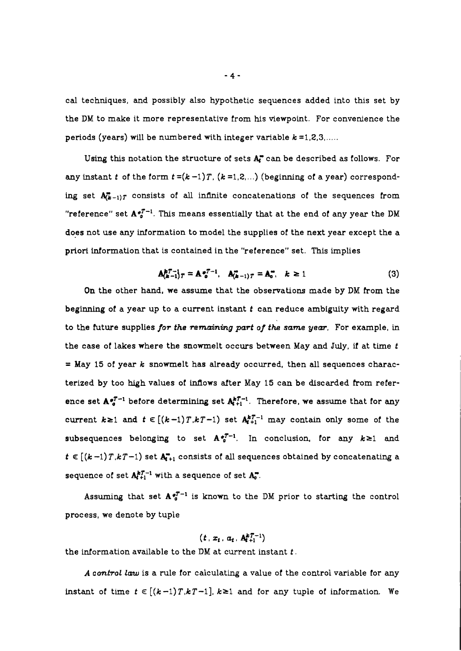cal techniques, and possibly also hypothetic sequences added into this set by the DM to make it more representative from his viewpoint. For convenience the periods (years) will be numbered with integer variable  $k = 1, 2, 3, \ldots$ 

Using this notation the structure of sets  $A_i^*$  can be described as follows. For any instant *t* of the form  $t = (k - 1)T$ ,  $(k = 1, 2, ...)$  (beginning of a year) corresponding set  $A_{(k-1)T}$  consists of all infinite concatenations of the sequences from "reference" set  $A \cdot \int_a^{T-1}$ . This means essentially that at the end of any year the DM does not use any information to model the supplies of the next year except the a priori information that is contained in the "reference" set. This implies

$$
\mathbf{A}_{(k-1)}^{k} \mathbf{T} = \mathbf{A} \cdot \mathbf{A}^{T-1}, \quad \mathbf{A}_{(k-1)}^{k} \mathbf{T} = \mathbf{A}^{k} \quad k \ge 1
$$
 (3)

On the other hand, we assume that the observations made by DM from the beginning of a year up to a current instant **t** can reduce ambiguity with regard to the future supplies **for the remaining part of the same year.** For example, in the case of lakes where the snowmelt occurs between May and July, if at time *t*   $=$  May 15 of year  $k$  snowmelt has already occurred, then all sequences characterized by too high values of inflows after May 15 can be discarded from reference set  $A \cdot \frac{a^{T-1}}{a}$  before determining set  $A_{i+1}^{kT-1}$ . Therefore, we assume that for any current  $k \geq 1$  and  $t \in [(k-1)T, kT-1)$  set  $A_{i+1}^{kT-1}$  may contain only some of the subsequences belonging to set  $A \cdot \zeta^{T-1}$ . In conclusion, for any  $k \ge 1$  and  $t \in [(k-1)T_kT-1)$  set  $A_{t+1}^T$  consists of all sequences obtained by concatenating a sequence of set  $A_{t+1}^{k}$ <sup>-1</sup> with a sequence of set  $A_0$ <sup>-</sup>.

Assuming that set  $A \cdot z^{T-1}$  is known to the DM prior to starting the control process, we denote by tuple

# $(t, x_t, a_t, A_{t,1}^{kT-1})$

the information available to the DM at current instant *t* 

**A control law** is a rule for calculating a value of the control variable for any instant of time  $t \in [(k-1)T,kT-1]$ ,  $k \ge 1$  and for any tuple of information. We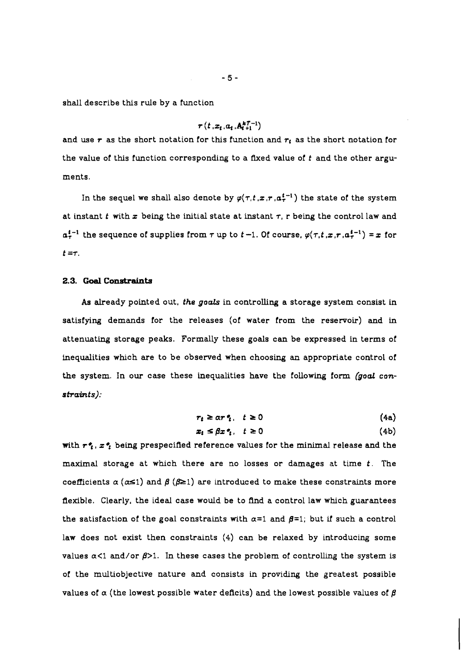shall describe this rule by a function

$$
\boldsymbol{\tau}\left(t\,,x_{t}\,,a_{t}\,,A_{t+1}^{kT-1}\right)
$$

and use  $r$  as the short notation for this function and  $r_t$  as the short notation for the value of this function corresponding to a fixed value of  $t$  and the other arguments.

In the sequel we shall also denote by  $\varphi(\tau,t,x,r,a_{\tau}^{t-1})$  the state of the system at instant  $t$  with  $x$  being the initial state at instant  $\tau$ , r being the control law and  $a_{\tau}^{t-1}$  the sequence of supplies from  $\tau$  up to  $t-1$ . Of course,  $\varphi(\tau,t,x,\tau,a_{\tau}^{t-1}) = x$  for  $t = \tau$ .

## **2.3.** Goal **Constraints**

As already pointed out, the **goak** in controlling **a** storage system consist in satisfying demands for the releases (of water from the reservoir) and in attenuating storage peaks. Formally these goals can be expressed in terms of inequalities which are to be observed when choosing an appropriate control of the system. In our case these inequalities have the following form **(god con** $strains):$ 

$$
\tau_t \geq \alpha \tau^* t, \quad t \geq 0 \tag{4a}
$$

$$
x_t \leq \beta x \cdot t, \quad t \geq 0 \tag{4b}
$$

with  $r$ ,  $z$ <sup>2</sup> being prespecified reference values for the minimal release and the maximal storage at which there are no losses or damages at time  $t$ . The coefficients  $\alpha$  ( $\alpha \leq 1$ ) and  $\beta$  ( $\beta \geq 1$ ) are introduced to make these constraints more flexible. Clearly, the ideal case would be to find a control law which guarantees the satisfaction of the goal constraints with  $\alpha=1$  and  $\beta=1$ ; but if such a control law does not exist then constraints (4) can be relaxed by introducing some values  $\alpha$ <1 and/or  $\beta$ >1. In these cases the problem of controlling the system is of the multiobjective nature and consists in providing the greatest possible values of  $\alpha$  (the lowest possible water deficits) and the lowest possible values of  $\beta$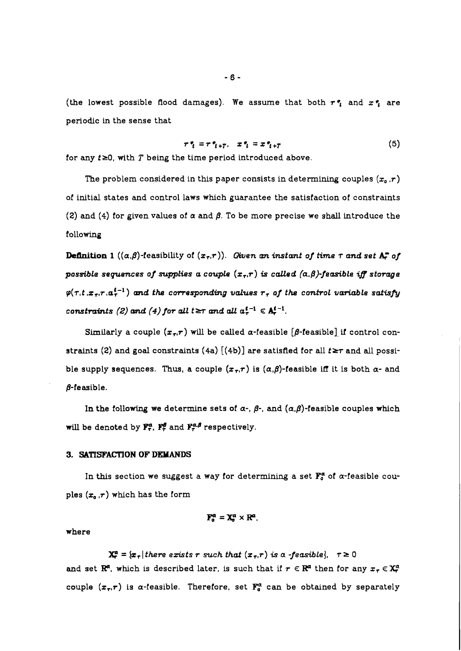(the lowest possible flood damages). We assume that both  $r^*$  and  $x^*$  are periodic in the sense that

$$
\tau^*_{\mathbf{i}} = \tau^*_{\mathbf{i} + T}, \quad x^*_{\mathbf{i}} = x^*_{\mathbf{i} + T} \tag{5}
$$

for any  $t\geq0$ , with T being the time period introduced above.

The problem considered in this paper consists in determining couples  $(x_o, r)$ of initial states and control laws which guarantee the satisfaction of constraints (2) and (4) for given values of  $\alpha$  and  $\beta$ . To be more precise we shall introduce the following

**Definition 1** ( $(\alpha,\beta)$ -feasibility of  $(x_1,r)$ ). Given an instant of time  $\tau$  and set  $A_r^*$  of possible sequences of supplies a couple  $(x_t,r)$  is called  $(\alpha,\beta)$ -feasible iff storage  $\varphi(\tau,t,x_\tau,r,a_\tau^{t-1})$  and the corresponding values  $r_\tau$  of the control variable satisfy constraints (2) and (4) for all  $t \geq \tau$  and all  $a_{\tau}^{t-1} \in A_{\tau}^{t-1}$ .

Similarly a couple  $(x_{\tau},r)$  will be called  $\alpha$ -feasible [ $\beta$ -feasible] if control constraints (2) and goal constraints (4a)  $[(4b)]$  are satisfied for all  $t \geq \tau$  and all possible supply sequences. Thus, a couple  $(x_t, r)$  is  $(\alpha, \beta)$ -feasible iff it is both  $\alpha$ - and  $\beta$ -feasible.

In the following we determine sets of  $\alpha$ -,  $\beta$ -, and  $(\alpha, \beta)$ -feasible couples which will be denoted by  $\mathbf{F}^a_r$ ,  $\mathbf{F}^f_r$  and  $\mathbf{F}^{a,\beta}_r$  respectively.

## **3. SATISFACI'ION OF DEMANDS**

In this section we suggest a way for determining a set  $\mathbf{F}_o^a$  of  $\alpha$ -feasible couples  $(x_a, r)$  which has the form

$$
\mathbf{F}_a^{\alpha} = \mathbf{X}_a^{\alpha} \times \mathbf{R}^{\alpha},
$$

where

 $X^{\alpha} = \{x_{\tau} |$  there exists r such that  $(x_{\tau},r)$  is a -feasible},  $r \geq 0$ and set  $\mathbb{R}^a$ , which is described later, is such that if  $r \in \mathbb{R}^a$  then for any  $x_r \in \mathbb{X}_r^a$ couple  $(x_t, r)$  is a-feasible. Therefore, set  $\mathbf{F}_0^a$  can be obtained by separately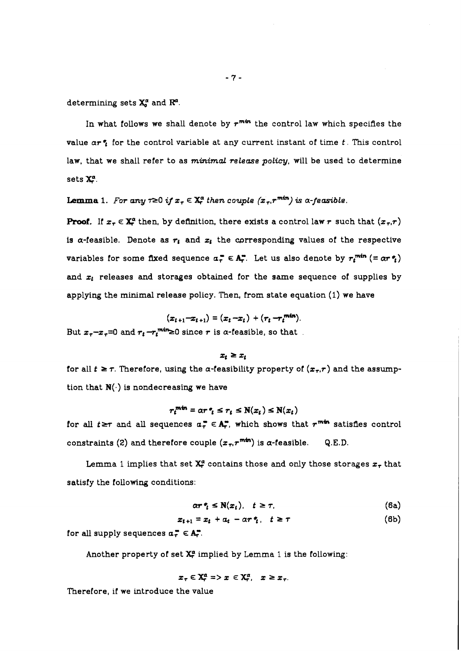determining sets  $X_0^{\alpha}$  and  $R^{\alpha}$ .

In what follows we shall denote by  $r^{min}$  the control law which specifies the value *ar?* for the control variable at any current instant of time *t.* This control law, that we shall refer to as *minimal release policy,* will be used to determine sets  $X^{\alpha}$ .

**Lemma** 1. For any  $\tau \geq 0$  if  $x_{\tau} \in X_{\tau}^{\alpha}$  then couple  $(x_{\tau}, r^{min})$  is a-feasible.

**Proof.** If  $x_{\tau} \in \mathbf{X}_{\tau}^{\alpha}$  then, by definition, there exists a control law  $\tau$  such that  $(x_{\tau},\tau)$ is  $\alpha$ -feasible. Denote as  $r_t$  and  $x_t$  the corresponding values of the respective variables for some fixed sequence  $a_r^* \in A_r^*$ . Let us also denote by  $r_t^{min} (= \alpha r_i)$ and  $x_i$  releases and storages obtained for the same sequence of supplies by applying the minimal release policy. Then, from state equation (1) we have

 $(x_{t+1} - x_{t+1}) = (x_t - x_t) + (r_t - r_t^{\min}).$ 

But  $x_{\tau}-x_{\tau}=0$  and  $r_{t}-r_{t}^{min}\geq0$  since  $r$  is a-feasible, so that

 $x_t \geq x_t$ 

for all  $t \geq \tau$ . Therefore, using the a-feasibility property of  $(x_{\tau},\tau)$  and the assumption that  $N(\cdot)$  is nondecreasing we have

$$
r_t^{m+n} = \alpha r \cdot t \leq r_t \leq N(x_t) \leq N(x_t)
$$

for all  $t \geq \tau$  and all sequences  $a_{\tau} \in A_{\tau}$ , which shows that  $r^{m+n}$  satisfies control constraints (2) and therefore couple  $(x_{\tau}, r^{min})$  is  $\alpha$ -feasible. Q.E.D.

Lemma 1 implies that set  $X_r^{\alpha}$  contains those and only those storages  $x_{\tau}$  that satisfy the following conditions:

$$
\alpha \tau^*_{t} \leq \mathbf{N}(x_t), \quad t \geq \tau, \tag{6a}
$$

$$
x_{t+1} = x_t + a_t - \alpha r \cdot t, \quad t \geq \tau
$$
 (6b)

for all supply sequences  $a_r^* \in A_r^*$ .

Another property of set  $X_r^{\alpha}$  implied by Lemma 1 is the following:

$$
x_{\tau} \in \mathbf{X}_{\tau}^{\alpha} \Rightarrow x \in \mathbf{X}_{\tau}^{\alpha}, \quad x \geq x_{\tau}.
$$

Therefore, if we introduce the value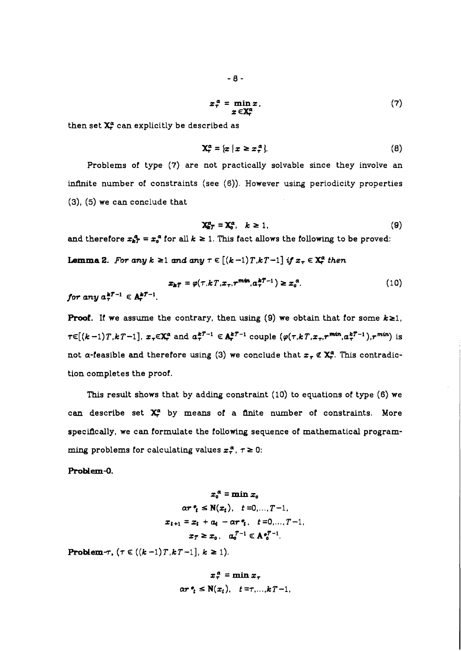then set  $X_r^{\alpha}$  can explicitly be described as

$$
\mathbf{X}_{\tau}^{\alpha} = \{x \mid x \geq x_{\tau}^{\alpha}\}.
$$
 (8)

Problems of type *(7)* are not practically solvable since they involve an infinite number of constraints (see (6)). However using periodicity properties *(3), (5)* we can conclude that

$$
\mathbf{X}_{\mathbf{B}T}^a = \mathbf{X}_{\mathbf{0}}^a, \quad k \ge 1. \tag{9}
$$

and therefore  $x_k^a = x_a^a$  for all  $k \ge 1$ . This fact allows the following to be proved:

**Lemma 2.** For any  $k \geq 1$  and any  $\tau \in [(k-1)T, kT-1]$  if  $x_{\tau} \in X_r^a$  then

$$
x_{k} = \varphi(\tau, kT, x_{\tau}, r^{m\mathbf{in}}, a_{\tau}^{kT-1}) \ge x_{o}^{\alpha}.
$$
 (10)

*for any*  $a_7^{kT-1} \in A_7^{kT-1}$ *.* 

**Proof.** If we assume the contrary, then using (9) we obtain that for some  $k \ge 1$ ,  $\tau \in [(k-1)T, kT-1], \ x_{\tau} \in X_{\tau}^{\alpha} \text{ and } a_{\tau}^{kT-1} \in A_{\tau}^{kT-1} \text{ couple } (\varphi(\tau,kT, x_{\tau}, r^{min}, a_{\tau}^{kT-1}), r^{min}) \text{ is }$ not a-feasible and therefore using (3) we conclude that  $x_r \notin X_r^a$ . This contradiction completes the proof.

This result shows that by adding constraint *(10)* to equations of type (6) we can describe set  $X_r^{\alpha}$  by means of a finite number of constraints. More speciflcally, we can formulate the following sequence of mathematical programming problems for calculating values  $x_{\tau}^{\alpha}$ ,  $\tau \ge 0$ :

Problem-0.

$$
x_0^{\alpha} = \min x_0
$$
  
\n
$$
\alpha r \cdot_t \le \mathbf{N}(x_t), \quad t = 0, \dots, T-1,
$$
  
\n
$$
x_{t+1} = x_t + a_t - \alpha r \cdot_t, \quad t = 0, \dots, T-1,
$$
  
\n
$$
x_T \ge x_0, \quad a_0^{T-1} \in \mathbf{A} \cdot_t^{T-1}.
$$

*Problem-t.*  $(\tau \in ((k-1)T, kT-1], k \ge 1).$ 

$$
x_{\tau}^{\alpha} = \min x_{\tau}
$$
  
or  $\ell_i \leq N(x_t)$ ,  $t = \tau, ..., kT - 1$ ,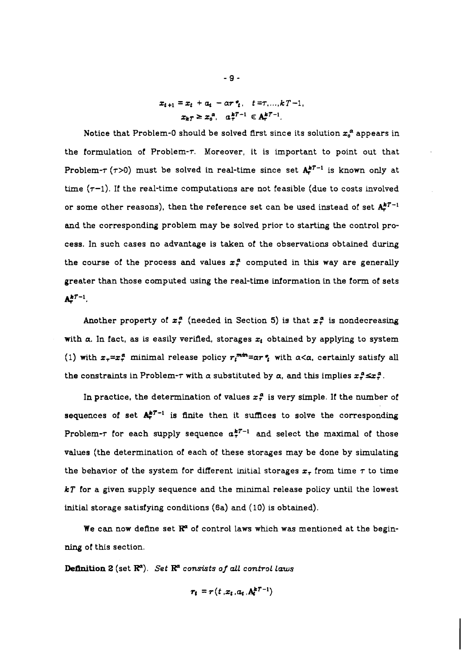$$
x_{t+1} = x_t + a_t - \alpha r \cdot t, \quad t = \tau, ..., kT - 1,
$$
  

$$
x_{k}r \ge x_n^{\alpha}, \quad a_n^{k} = k^{T-1} \in A_n^{k}.
$$

Notice that Problem-0 should be solved first since its solution  $x_a^{\alpha}$  appears in the formulation of Problem-r. Moreover, it is important to point out that Problem- $\tau$  ( $\tau$ >0) must be solved in real-time since set  $A_{\tau}^{kT-1}$  is known only at time  $(\tau-1)$ . If the real-time computations are not feasible (due to costs involved or some other reasons), then the reference set can be used instead of set  $A_r^{kT-1}$ and the corresponding problem may be solved prior to starting the control process. In such cases no advantage is taken of the observations obtained during the course of the process and values  $x_{\tau}^{\alpha}$  computed in this way are generally greater than those computed using the real-time information in the form of sets  $A^{kT-1}$ .

Another property of  $x_i^a$  (needed in Section 5) is that  $x_i^a$  is nondecreasing with  $\alpha$ . In fact, as is easily verified, storages  $x_t$  obtained by applying to system (1) with  $x_{\tau} = x_{\tau}^{a}$  minimal release policy  $r_{\tau}^{min} = \alpha r \tau_{\tau}^{a}$  with  $\alpha < \alpha$ , certainly satisfy all the constraints in Problem- $\tau$  with  $\alpha$  substituted by  $\alpha$ , and this implies  $x_i^{\alpha} \leq x_i^{\alpha}$ .

In practice, the determination of values  $x_t^{\alpha}$  is very simple. If the number of sequences of set  $A^{p^*-1}$  is finite then it suffices to solve the corresponding Problem- $\tau$  for each supply sequence  $a_{\tau}^{kT-1}$  and select the maximal of those values (the determination of each of these storages may be done by simulating the behavior of the system for different initial storages  $x<sub>r</sub>$  from time  $\tau$  to time **kT** for a given supply sequence and the minimal release policy until the lowest initial storage satisfying conditions (6a) and (10) is obtained).

We can now define set  $\mathbb{R}^a$  of control laws which was mentioned at the begin**ning** of this section.

**Definition 2** (set  $\mathbb{R}^{\alpha}$ ). *Set*  $\mathbb{R}^{\alpha}$  *consists of all control laws* 

$$
\boldsymbol{\tau_t} = \boldsymbol{r}(t, x_t, a_t, \mathbf{A_t^{k}}^{T-1})
$$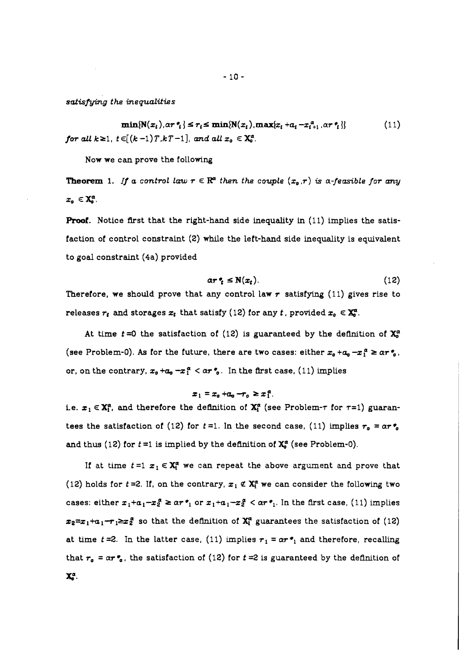**satisfying** *the inequalities* 

 $\min(N(x_t), \alpha r^*t) \leq r_t \leq \min(N(x_t), \max(x_t + a_t - x_{t+1}^{\alpha}, \alpha r^*t))$  $(11)$ for all  $k \ge 1$ ,  $t \in [(k-1)T, kT-1]$ , and all  $x_0 \in X_0^{\alpha}$ .

Now we can prove the following

**Theorem 1.** If a control law  $r \in \mathbb{R}^a$  then the couple  $(x_a, r)$  is a-feasible for any  $x_a \in X_a^{\alpha}$ .

**Proof.** Notice first that the right-hand side inequality in (11) implies the satisfaction of control constraint (2) while the left-hand side inequality is equivalent to goal constraint (4a) provided

$$
2\pi \cdot \xi \leq N(x_{t}). \tag{12}
$$

Therefore, we should prove that any control law  $r$  satisfying (11) gives rise to releases  $r_t$  and storages  $x_t$  that satisfy (12) for any *t*, provided  $x_o \in \mathbb{X}_o^a$ .

At time  $t=0$  the satisfaction of (12) is guaranteed by the definition of  $\mathbf{X}_0^{\alpha}$ (see Problem-0). As for the future, there are two cases: either  $x_0 + a_0 - x_1^{\alpha} \geq \alpha r^*_{\alpha}$ , or, on the contrary,  $x_0 + a_0 - x_1^{\alpha} < \alpha r$ , In the first case, (11) implies

$$
x_1 = x_0 + a_0 - r_0 \ge x_1^{\alpha}.
$$

i.e.  $x_1 \in X_1^{\alpha}$ , and therefore the definition of  $X_1^{\alpha}$  (see Problem- $\tau$  for  $\tau=1$ ) guarantees the satisfaction of (12) for  $t = 1$ . In the second case, (11) implies  $r_o = \alpha r r_o$ and thus (12) for  $t = 1$  is implied by the definition of  $X_0^{\alpha}$  (see Problem-0).

If at time  $t = 1$   $x_1 \in X_1^{\alpha}$  we can repeat the above argument and prove that (12) holds for  $t = 2$ . If, on the contrary,  $x_1 \notin X_1^{\alpha}$  we can consider the following two cases: either  $x_1+a_1-x_2^a \geq \alpha r_{1}^a$  or  $x_1+a_1-x_2^a < \alpha r_{1}^a$ . In the first case, (11) implies  $x_2=x_1+a_1-r_1\geq x_2^a$  so that the definition of  $X_i^a$  guarantees the satisfaction of (12) at time  $t = 2$ . In the latter case, (11) implies  $r_1 = \alpha r^*$  and therefore, recalling that  $r_o = \alpha r r_o$ , the satisfaction of (12) for  $t = 2$  is guaranteed by the definition of Xg.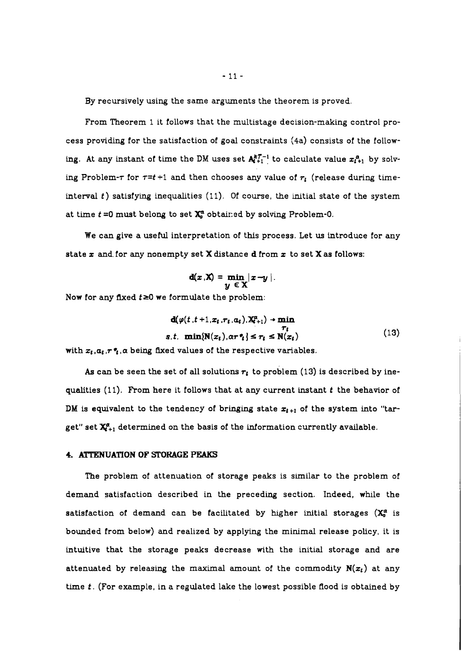By recursively using the same arguments the theorem is proved.

From Theorem 1 it follows that the multistage decision-making control process providing for the satisfaction of goal constraints (4a) consists of the following. At any instant of time the DM uses set  $A_{t+1}^{k}$  to calculate value  $x_{t+1}^{a}$  by solving Problem- $\tau$  for  $\tau=t+1$  and then chooses any value of  $r_t$  (release during timeinterval  $t$ ) satisfying inequalities (11). Of course, the initial state of the system at time  $t = 0$  must belong to set  $X_0^{\alpha}$  obtained by solving Problem-0.

We can give a useful interpretation of this process. Let us introduce for any state **z** and. for any nonempty set **X** distance **d** from z to set **X** as follows:

$$
\mathbf{d}(x,X)=\min_{y\in X}|x-y|.
$$

Now for any fixed  $t\geq0$  we formulate the problem:

$$
\mathbf{d}(\varphi(t, t+1, x_t, r_t, a_t), \mathbf{X}_{t+1}^{\mathbf{a}}) \rightarrow \min_{\mathbf{T}_t}
$$
  
s.t. 
$$
\min\{\mathbf{N}(x_t), \alpha \mathbf{r}_t\} \leq \mathbf{r}_t \leq \mathbf{N}(x_t)
$$
 (13)

with  $x_t$ ,  $a_t$ ,  $r$ <sup> $\bullet$ </sup>,  $\alpha$  being fixed values of the respective variables.

As can be seen the set of all solutions  $r_t$  to problem (13) is described by inequalities (11). From here it follows that at any current instant  $t$  the behavior of DM is equivalent to the tendency of bringing state  $x_{t+1}$  of the system into "target" set  $X_{t+1}^{\alpha}$  determined on the basis of the information currently available.

## 4. ATTENUATION OF STORAGE PEAKS

The problem of attenuation of storage peaks is sunilar to the problem of demand satisfaction described in the preceding section. Indeed, while the satisfaction of demand can be facilitated by higher initial storages (X<sup>a</sup> is bounded from below) and realized by applying the minimal release policy, it is intuitive that the storage peaks decrease with the initial storage and are attenuated by releasing the maximal amount of the commodity  $N(x_t)$  at any time t. (For example, in a regulated lake the lowest possible flood is obtained by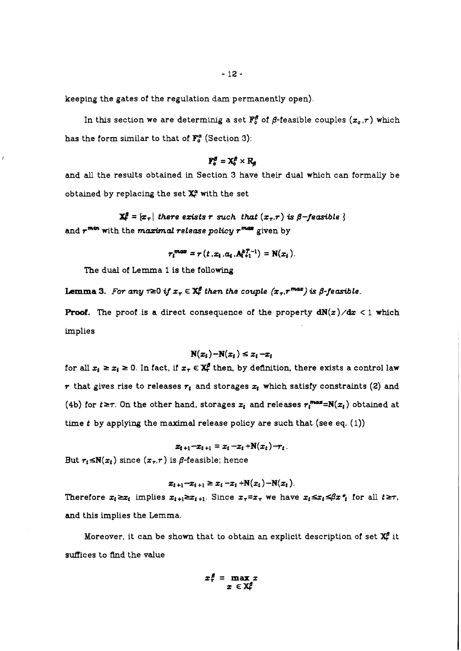keeping the gates of the regulation dam permanently open)

In this section we are determinig a set  $\mathbf{F}^{\beta}_{\theta}$  of  $\beta$ -feasible couples  $(x_{a},r)$  which has the form similar to that of  $\mathbf{F}_{o}^{\alpha}$  (Section 3):

# $P_n^{\beta} = X_n^{\beta} \times R_n$

and all the results obtained in Section *3* have their dual which can formally be obtained by replacing the set **Sa** with the set

 $X_f^{\beta} = \{x_{\tau} \mid \text{there exists } \tau \text{ such that } (x_{\tau}, \tau) \text{ is } \beta-\text{feasible } \}$ and  $r^{min}$  with the *maximal release policy*  $r^{max}$  given by

$$
r_t^{max} = r(t, x_t, a_t, A_{t+1}^{kT-1}) = N(x_t).
$$

The dual of Lemma 1 is the following

**Lemma 3.** For any  $\tau \geq 0$  if  $x_{\tau} \in \mathbb{X}_{\tau}^{\beta}$  then the couple  $(x_{\tau}, r^{max})$  is  $\beta$ -feasible.

**Proof.** The proof is a direct consequence of the property  $dN(x)/dx < 1$  which implies

$$
N(x_t)-N(x_t) \leq x_t - x_t
$$

for all  $x_t \ge x_t \ge 0$ . In fact, if  $x_\tau \in \mathbb{X}_\tau^{\beta}$  then, by definition, there exists a control law *r* that gives rise to releases  $r_t$  and storages  $x_t$  which satisfy constraints (2) and (4b) for  $t \geq \tau$ . On the other hand, storages  $x_t$  and releases  $r_t^{\text{max}} = N(x_t)$  obtained at time *f* by applying the maximal release policy are such that (see eq. (1))

 $x_{t+1}-x_{t+1} = x_t - x_t + N(x_t) - r_t$ .

But  $r_t \leq N(x_t)$  since  $(x_t, r)$  is  $\beta$ -feasible; hence

$$
x_{t+1} - x_{t+1} \geq x_t - x_t + N(x_t) - N(x_t).
$$

Therefore  $x_t \ge x_t$  implies  $x_{t+1} \ge x_{t+1}$ . Since  $x_{\tau} = x_{\tau}$  we have  $x_t \le x_t \le \beta x^*$  for all  $t \ge \tau$ , and this implies the Lemma.

Moreover, it can be shown that to obtain an explicit description of set  $X^g$  it suffices to find the value

$$
x^{\beta} = \max_{x \in X^{\beta}} x
$$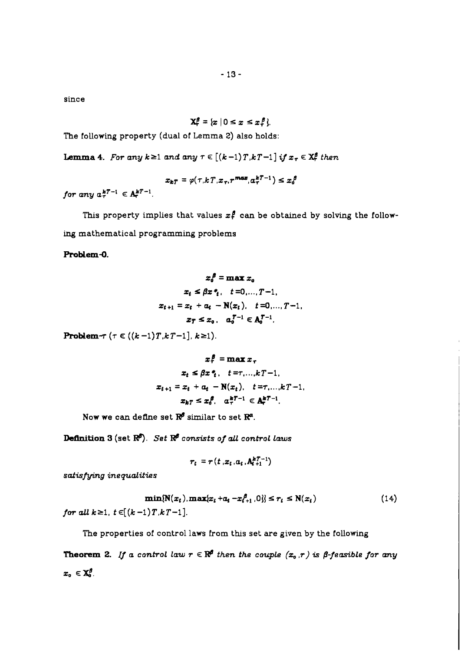since

$$
\mathbf{X}_{\tau}^{\beta} = \{x \mid 0 \leq x \leq x_{\tau}^{\beta}\}.
$$

The following property (dual of Lemma 2) also holds:

**Lemma 4.** For any  $k \geq 1$  and any  $\tau \in [(k-1)T, kT-1]$  if  $x_{\tau} \in X_r^{\beta}$  then

 $x_{kT} = \varphi(\tau, kT, x_{\tau}, r^{\textit{max}}, a_{\tau}^{kT-1}) \leq x_{\sigma}^{\beta}$ 

*for any*  $a^{kT-1} \in A^{kT-1}$ .

This property implies that values  $x_i^f$  can be obtained by solving the follow**ing** mathematical programming problems

Problem-0.

$$
x_0^{\beta} = \max x_0
$$
  

$$
x_t \le \beta x \cdot t, \quad t = 0, ..., T-1,
$$
  

$$
x_{t+1} = x_t + a_t - N(x_t), \quad t = 0, ..., T-1,
$$
  

$$
x_T \le x_0, \quad a_0^{T-1} \in A_0^{T-1}.
$$

**Problem-** $\tau$   $(\tau \in ((k-1)T, kT-1], k \ge 1).$ 

$$
x_t^{\beta} = \max x_{\tau}
$$
  

$$
x_t \leq \beta x_{t}^*, \quad t = \tau, ..., kT - 1,
$$
  

$$
x_{t+1} = x_t + a_t - N(x_t), \quad t = \tau, ..., kT - 1,
$$
  

$$
x_{kT} \leq x_0^{\beta}, \quad a_{\tau}^{kT-1} \in A_{\tau}^{kT-1}.
$$

Now we **can** deflne set **M** similar to set **F.** 

**Definition 3** (set **IEb).** *Set* **M** *consists of* **dl** *control laws* 

$$
r_t = r(t, x_t, a_t, A_{t+1}^{kT-1})
$$

 $satisfying$  inequalities

$$
\min\{N(x_t), \max\{x_t + a_t - x_{t+1}^{\beta}, 0\}\} \le r_t \le N(x_t)
$$
\n(14)

\nfor all  $k \ge 1$ ,  $t \in [(k-1)T, kT-1]$ .

The properties of control laws from this set are given by the following

**Theorem 2.** If a control law  $r \in \mathbb{R}^d$  then the couple  $(x_o, r)$  is  $\beta$ -feasible for any  $x_o \in \mathbf{X}_o^{\beta}$ .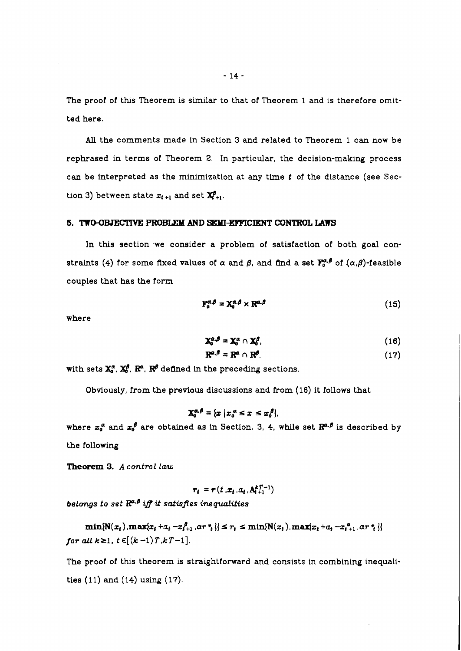The proof of this Theorem is similar to that of Theorem 1 and is therefore omitted here.

All the comments made in Section 3 and related to Theorem 1 can now be rephrased in terms of Theorem 2. In particular, the decision-making process can be interpreted as the minimization at any time *t* of the distance (see Section 3) between state  $x_{t+1}$  and set  $\mathbf{X}_{t+1}^{\beta}$ .

## **5. TWO-OBJECTIVE PROBLEM AND SICMI-CIENT CONTROL MWS**

In this section we consider a problem of satisfaction of both goal constraints (4) for some fixed values of  $\alpha$  and  $\beta$ , and find a set  $\mathbf{F}_{\alpha}^{\alpha,\beta}$  of  $(\alpha,\beta)$ -feasible couples that has the form

$$
\mathbf{F}_{a}^{\alpha,\beta} = \mathbf{X}_{a}^{\alpha,\beta} \times \mathbf{R}^{\alpha,\beta} \tag{15}
$$

where

$$
\mathbf{X}_0^{\alpha,\beta} = \mathbf{X}_0^{\alpha} \cap \mathbf{X}_0^{\beta},\tag{16}
$$

$$
\mathbf{R}^{\alpha,\beta} = \mathbf{R}^{\alpha} \cap \mathbf{R}^{\beta}.\tag{17}
$$

with sets  $X_a^a$ ,  $X_b^b$ ,  $R^a$ ,  $R^b$  defined in the preceding sections.

Obviously, from the previous discussions and from (16) it follows that

$$
X_o^{\alpha,\beta} = \{x \mid x_o^{\alpha} \leq x \leq x_o^{\beta}\},\
$$

where  $x_a^a$  and  $x_b^b$  are obtained as in Section. 3, 4, while set  $\mathbb{R}^{a,\beta}$  is described by the following

**Theorem 3. A control** *law* 

$$
r_t = r(t, x_t, a_t, A_{t+1}^{kT-1})
$$

**belongs to set** *FeP* **i. if satisfies inequalities** 

 $\min\{ {\bf N}(x_t), \max\{x_t+a_t-x^{\beta}_{t+1}, \alpha r^{\star}\}\} \leq r_t \leq \min\{ {\bf N}(x_t), \max\{x_t+a_t-x^{\alpha}_{t+1}, \alpha r^{\star}\}\}$ for all  $k \ge 1$ ,  $t \in [(k-1)T, kT-1]$ .

The proof of this theorem is straightforward and consists in combining inequalities (11) and (14) using (17).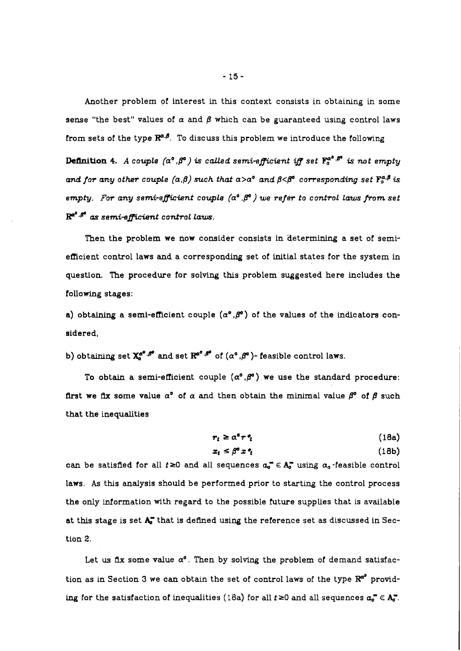Another problem of interest in this context consists in obtaining in some sense "the best" values of  $\alpha$  and  $\beta$  which can be guaranteed using control laws from sets of the type **W.@.** To discuss this problem we introduce the following **Definition 4.** A couple  $(\alpha^{\circ}, \beta^{\circ})$  is called semi-efficient iff set  $\mathbf{F}_{\alpha}^{\alpha^{\circ}, \beta^{\circ}}$  is not empty and for any other couple  $(\alpha, \beta)$  such that  $\alpha > \alpha^o$  and  $\beta < \beta^o$  corresponding set  $\mathbf{F}_o^{a, \beta}$  is *empty. For any semi-efficient couple*  $(a^{\circ}, \beta^{\circ})$  we refer to control laws from set **@.f** *as semi-81p'icient control law.* 

Then the problem we now consider consists in determining a set of semiefficient control laws and a corresponding set of initial states for the system in question. The procedure for solving this problem suggested here includes the following stages:

a) obtaining a semi-efficient couple  $(\alpha^{\circ}, \beta^{\circ})$  of the values of the indicators considered,

b) obtaining set  $X_{\alpha}^{\alpha^0,\beta^0}$  and set  $R^{\alpha^0,\beta^0}$  of  $(\alpha^0,\beta^0)$ - feasible control laws.

To obtain a semi-efficient couple  $(\alpha^o, \beta^o)$  we use the standard procedure: first we fix some value  $\alpha^0$  of  $\alpha$  and then obtain the minimal value  $\beta^0$  of  $\beta$  such that the inequalities

$$
r_t \geq \alpha^a \tau^a \tag{18a}
$$

$$
x_t \leq \beta^0 x^* \tag{18b}
$$

can be satisfied for all  $t \ge 0$  and all sequences  $a_n^* \in A_n^*$  using  $\alpha_0$ -feasible control laws. As this analysis should be performed prior to starting the control process the only information with regard to the possible future supplies that is available at this stage is set  $A_0^*$  that is defined using the reference set as discussed in Section 2.

Let us fix some value  $\alpha^{\circ}$ . Then by solving the problem of demand satisfaction as in Section 3 we can obtain the set of control laws of the type  $\mathbf{R}^{a^o}$  providing for the satisfaction of inequalities (18a) for all  $t \ge 0$  and all sequences  $a_0^m \in A_0^m$ .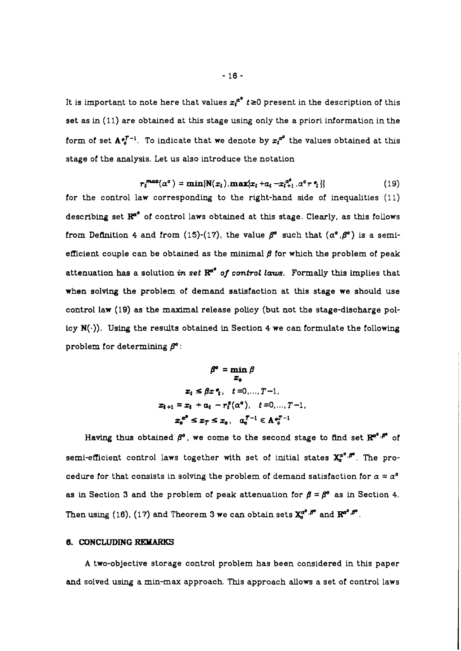It is important to note here that values  $x_t^{\alpha^0}$   $t \ge 0$  present in the description of this set as in (11) are obtained at this stage using only the a priori information in the form of set  $\mathbf{A} \cdot \mathbf{A}^{T-1}$ . To indicate that we denote by  $x_i^{\alpha^0}$  the values obtained at this stage of the analysis. Let us also introduce the notation

$$
r_i^{\text{max}}(\alpha^o) = \min\{N(x_t), \max\{x_t + a_t - x_{t+1}^{\alpha^o}, \alpha^o r^*\}\}\
$$
(19)

for the control law corresponding to the right-hand side of inequalities (11) describing set  $\mathbb{R}^{a^{\circ}}$  of control laws obtained at this stage. Clearly, as this follows from Definition 4 and from (15)-(17), the value  $\beta^{\circ}$  such that  $(\alpha^{\circ}, \beta^{\circ})$  is a semiefficient couple can be obtained as the minimal  $\beta$  for which the problem of peak attenuation has a solution **in set I?'@ of control** *laurs.* Formally this implies that when solving the problem of demand satisfaction at this stage we should use control law (19) as the maximal release policy (but not the stage-discharge policy  $N(\cdot)$ ). Using the results obtained in Section 4 we can formulate the following problem for determining  $\beta^o$ :

$$
\beta^o = \min_{x_o} \beta
$$
  
\n
$$
x_t \leq \beta x \cdot t, \quad t = 0, ..., T-1,
$$
  
\n
$$
x_{t+1} = x_t + \alpha_t - r_t^o(\alpha^o), \quad t = 0, ..., T-1,
$$
  
\n
$$
x_o^{\alpha^o} \leq x_T \leq x_o, \quad \alpha_o^{T-1} \in A \cdot e^{T-1}
$$

Having thus obtained  $\beta^o$ , we come to the second stage to find set  $\mathbb{R}^{a^o \cdot \beta^o}$  of semi-efficient control laws together with set of initial states  $X^{a^0,\beta^0}_a$ . The procedure for that consists in solving the problem of demand satisfaction for  $\alpha = \alpha^{\circ}$ as in Section 3 and the problem of peak attenuation for  $\beta = \beta^o$  as in Section 4. Then using (16), (17) and Theorem 3 we can obtain sets  $X^{a^0,\beta^0}_a$  and  $\mathbf{R}^{a^0,\beta^0}$ .

# **6. CONCLUDING REMARKS**

A two-objective storage control problem has been considered in this paper and solved using a min-max approach. This approach allows a set of control laws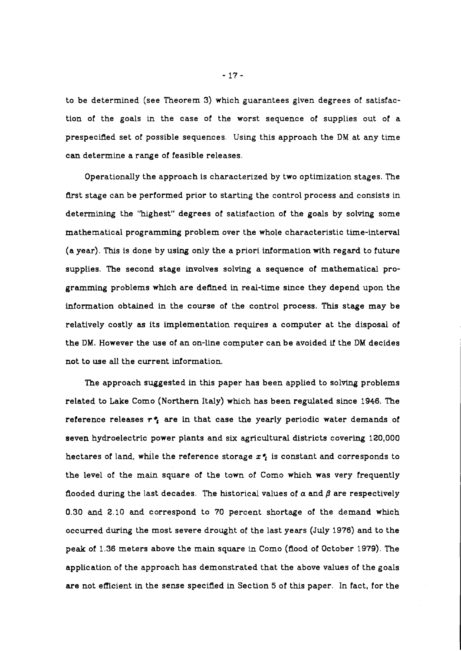to be determined (see Theorem 3) which guarantees given degrees of satisfaction of the goals in the case of the worst sequence of supplies out of a prespecifled set of possible sequences. Using this approach the DM at any time can determine a range of feasible releases.

Operationally the approach is characterized by two optimization stages. The first stage can be performed prior to starting the control process and consists in determining the "highest" degrees of satisfaction of the goals by solving some mathematical programming problem over the whole characteristic time-interval (a year). This is done by using only the a priori information with regard to future supplies. The second stage involves solving a sequence of mathematical programming problems which are defined in real-time since they depend upon the information obtained in the course of the control process. This stage may be relatively costly as its implementation requires a computer at the disposal of the DM. However the use of an on-line computer can be avoided **ii** the DM decides not to use all the current information.

The approach suggested in this paper has been applied to solving problems related to Lake Como (Northern Italy) whch has been regulated since 1948. The reference releases  $r$ <sup>\*</sup>, are in that case the yearly periodic water demands of seven hydroelectric power plants and six agricultural districts covering 120,000 hectares of land, while the reference storage  $x^*$  is constant and corresponds to the level of the main square of the town of Como whch was very frequently flooded during the last decades. The historical values of  $\alpha$  and  $\beta$  are respectively 0.30 and 2.10 and correspond to 70 percent shortage of the demand which occurred during the most severe drought of the last years (July 1976) and to the peak of 1.36 meters above the main square in Como (flood of October 1979). The application of the approach has demonstrated that the above values of the goals are not efficient in the sense specifled in Section 5 of thls paper. In fact, for the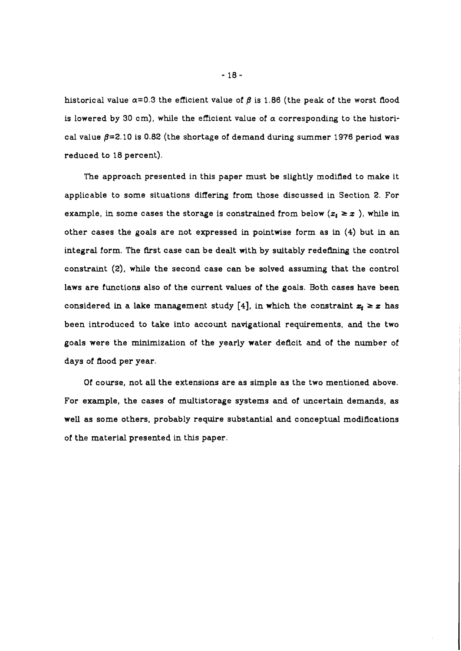historical value  $\alpha=0.3$  the efficient value of  $\beta$  is 1.86 (the peak of the worst flood is lowered by 30 cm), while the efficient value of  $\alpha$  corresponding to the historical value  $\beta$ =2.10 is 0.82 (the shortage of demand during summer 1976 period was reduced to 18 percent).

The approach presented in this paper must be slightly modified to make it applicable to some situations differing from those discussed in Section 2. For example, in some cases the storage is constrained from below  $(x_t \geq x)$ , while in other cases the goals are not expressed in pointwise form as in (4) but in an integral form. The first case can be dealt with by suitably redefining the control constraint (2), while the second case can be solved assuming that the control laws are functions also of the current values of the goals. Both cases have been considered in a lake management study [4], in which the constraint  $x_t \geq x$  has been introduced to take into account navigational requirements, and the two goals were the minimization of the yearly water deflcit and of the number of days of flood per year.

Of course, not all the extensions are as simple as the two mentioned above. For example, the cases of multistorage systems and of uncertain demands, as well as some others, probably require substantial and conceptual modifications of the material presented in this paper.